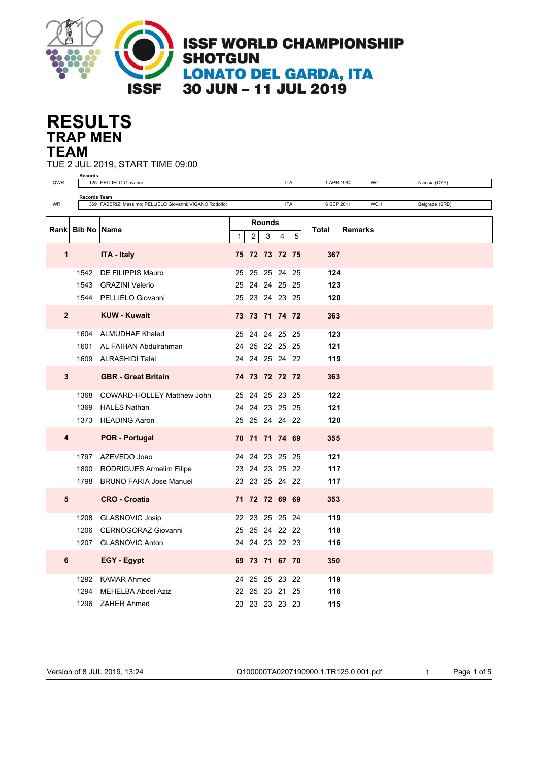

## **TRAP MEN RESULTS TEAM**

TUE 2 JUL 2019, START TIME 09:00

| QWR          | <b>Records</b>      | 125 PELLIELO Giovanni                                    |  |                |               |            | <b>ITA</b><br>1 APR 1994<br>WC<br>Nicosia (CYP) |            |  |                |                |  |
|--------------|---------------------|----------------------------------------------------------|--|----------------|---------------|------------|-------------------------------------------------|------------|--|----------------|----------------|--|
|              |                     |                                                          |  |                |               |            |                                                 |            |  |                |                |  |
| WR           | <b>Records Team</b> | 369 FABBRIZI Massimo; PELLIELO Giovanni; VIGANO Rodolfo; |  |                |               | <b>ITA</b> |                                                 | 6 SEP 2011 |  | <b>WCH</b>     | Belgrade (SRB) |  |
|              |                     |                                                          |  |                |               |            |                                                 |            |  |                |                |  |
| Rank         | <b>Bib No Name</b>  |                                                          |  |                | <b>Rounds</b> |            |                                                 | Total      |  | <b>Remarks</b> |                |  |
|              |                     |                                                          |  | $\overline{c}$ | 3             | 4          | 5                                               |            |  |                |                |  |
| 1            |                     | <b>ITA - Italy</b>                                       |  | 75 72 73 72 75 |               |            |                                                 | 367        |  |                |                |  |
|              | 1542                | DE FILIPPIS Mauro                                        |  | 25 25 25 24 25 |               |            |                                                 | 124        |  |                |                |  |
|              | 1543                | <b>GRAZINI Valerio</b>                                   |  | 25 24 24 25 25 |               |            |                                                 | 123        |  |                |                |  |
|              |                     | 1544 PELLIELO Giovanni                                   |  | 25 23 24 23 25 |               |            |                                                 | 120        |  |                |                |  |
| $\mathbf{2}$ |                     | <b>KUW - Kuwait</b>                                      |  | 73 73 71 74 72 |               |            |                                                 | 363        |  |                |                |  |
|              |                     | 1604 ALMUDHAF Khaled                                     |  | 25 24 24 25 25 |               |            |                                                 | 123        |  |                |                |  |
|              |                     | 1601 AL FAIHAN Abdulrahman                               |  | 24 25 22 25 25 |               |            |                                                 | 121        |  |                |                |  |
|              |                     | 1609 ALRASHIDI Talal                                     |  | 24 24 25 24 22 |               |            |                                                 | 119        |  |                |                |  |
| 3            |                     | <b>GBR</b> - Great Britain                               |  | 74 73 72 72 72 |               |            |                                                 | 363        |  |                |                |  |
|              | 1368                | COWARD-HOLLEY Matthew John                               |  | 25 24 25 23 25 |               |            |                                                 | 122        |  |                |                |  |
|              | 1369                | <b>HALES Nathan</b>                                      |  | 24 24 23 25 25 |               |            |                                                 | 121        |  |                |                |  |
|              |                     | 1373 HEADING Aaron                                       |  | 25 25 24 24 22 |               |            |                                                 | 120        |  |                |                |  |
| 4            |                     | <b>POR - Portugal</b>                                    |  | 70 71 71 74 69 |               |            |                                                 | 355        |  |                |                |  |
|              |                     | 1797 AZEVEDO Joao                                        |  | 24 24 23 25 25 |               |            |                                                 | 121        |  |                |                |  |
|              |                     | 1800 RODRIGUES Armelim Filipe                            |  | 23 24 23 25 22 |               |            |                                                 | 117        |  |                |                |  |
|              |                     | 1798 BRUNO FARIA Jose Manuel                             |  | 23 23 25 24 22 |               |            |                                                 | 117        |  |                |                |  |
| 5            |                     | <b>CRO - Croatia</b>                                     |  | 71 72 72 69 69 |               |            |                                                 | 353        |  |                |                |  |
|              | 1208                | <b>GLASNOVIC Josip</b>                                   |  | 22 23 25 25 24 |               |            |                                                 | 119        |  |                |                |  |
|              | 1206                | CERNOGORAZ Giovanni                                      |  | 25 25 24 22 22 |               |            |                                                 | 118        |  |                |                |  |
|              | 1207                | <b>GLASNOVIC Anton</b>                                   |  | 24 24 23 22 23 |               |            |                                                 | 116        |  |                |                |  |
| 6            |                     | <b>EGY - Egypt</b>                                       |  | 69 73 71 67 70 |               |            |                                                 | 350        |  |                |                |  |
|              |                     | 1292 KAMAR Ahmed                                         |  | 24 25 25 23 22 |               |            |                                                 | 119        |  |                |                |  |
|              | 1294                | MEHELBA Abdel Aziz                                       |  | 22 25 23 21 25 |               |            |                                                 | 116        |  |                |                |  |
|              |                     | 1296 ZAHER Ahmed                                         |  | 23 23 23 23 23 |               |            |                                                 | 115        |  |                |                |  |

Version of 8 JUL 2019, 13:24 Q100000TA0207190900.1.TR125.0.001.pdf 1 Page 1 of 5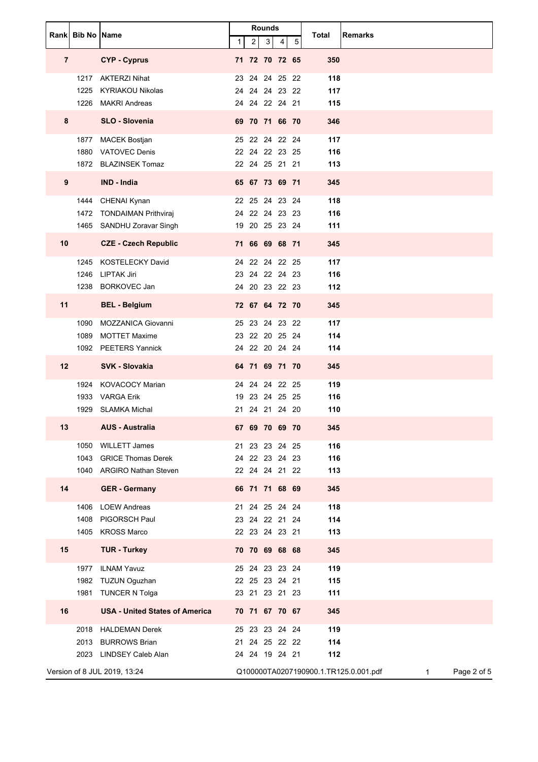|                | <b>Rankl Bib No IName</b> |                                       |   |                    | <b>Rounds</b>  |   |   | <b>Remarks</b><br>Total                                              |
|----------------|---------------------------|---------------------------------------|---|--------------------|----------------|---|---|----------------------------------------------------------------------|
|                |                           |                                       | 1 | $\overline{2}$     | 3 <sup>1</sup> | 4 | 5 |                                                                      |
| $\overline{7}$ |                           | <b>CYP - Cyprus</b>                   |   | 71 72 70 72 65     |                |   |   | 350                                                                  |
|                | 1217                      | <b>AKTERZI Nihat</b>                  |   | 23 24 24 25 22     |                |   |   | 118                                                                  |
|                | 1225                      | <b>KYRIAKOU Nikolas</b>               |   | 24 24 24 23 22     |                |   |   | 117                                                                  |
|                |                           | 1226 MAKRI Andreas                    |   | 24 24 22 24 21     |                |   |   | 115                                                                  |
| 8              |                           | SLO - Slovenia                        |   | 69 70 71 66 70     |                |   |   | 346                                                                  |
|                |                           | 1877 MACEK Bostjan                    |   | 25 22 24 22 24     |                |   |   | 117                                                                  |
|                | 1880                      | <b>VATOVEC Denis</b>                  |   | 22 24 22 23 25     |                |   |   | 116                                                                  |
|                |                           | 1872 BLAZINSEK Tomaz                  |   | 22 24 25 21 21     |                |   |   | 113                                                                  |
| 9              |                           | <b>IND - India</b>                    |   | 65 67 73 69 71     |                |   |   | 345                                                                  |
|                | 1444                      | CHENAI Kynan                          |   | 22 25 24 23 24     |                |   |   | 118                                                                  |
|                |                           | 1472 TONDAIMAN Prithviraj             |   | 24 22 24 23 23     |                |   |   | 116                                                                  |
|                |                           | 1465 SANDHU Zoravar Singh             |   | 19 20 25 23 24     |                |   |   | 111                                                                  |
| 10             |                           | <b>CZE - Czech Republic</b>           |   | 71 66 69 68 71     |                |   |   | 345                                                                  |
|                | 1245                      | KOSTELECKY David                      |   | 24 22 24 22 25     |                |   |   | 117                                                                  |
|                | 1246                      | <b>LIPTAK Jiri</b>                    |   | 23 24 22 24 23     |                |   |   | 116                                                                  |
|                |                           | 1238 BORKOVEC Jan                     |   | 24 20 23 22 23     |                |   |   | 112                                                                  |
| 11             |                           | <b>BEL - Belgium</b>                  |   | 72 67 64 72 70     |                |   |   | 345                                                                  |
|                | 1090                      | <b>MOZZANICA Giovanni</b>             |   | 25 23 24 23 22     |                |   |   | 117                                                                  |
|                | 1089                      | <b>MOTTET Maxime</b>                  |   | 23 22 20 25 24     |                |   |   | 114                                                                  |
|                | 1092                      | <b>PEETERS Yannick</b>                |   | 24 22 20 24 24     |                |   |   | 114                                                                  |
| 12             |                           | <b>SVK - Slovakia</b>                 |   | 64 71 69 71 70     |                |   |   | 345                                                                  |
|                | 1924                      | <b>KOVACOCY Marian</b>                |   | 24 24 24 22 25     |                |   |   | 119                                                                  |
|                | 1933                      | <b>VARGA Erik</b>                     |   | 19 23 24 25 25     |                |   |   | 116                                                                  |
|                | 1929                      | <b>SLAMKA Michal</b>                  |   | 21 24 21 24 20     |                |   |   | 110                                                                  |
| 13             |                           | <b>AUS - Australia</b>                |   | 67 69 70 69 70     |                |   |   | 345                                                                  |
|                | 1050                      | <b>WILLETT James</b>                  |   | 21 23 23 24 25     |                |   |   | 116                                                                  |
|                | 1043                      | <b>GRICE Thomas Derek</b>             |   | 24 22 23 24 23     |                |   |   | 116                                                                  |
|                |                           | 1040 ARGIRO Nathan Steven             |   | 22 24 24 21 22     |                |   |   | 113                                                                  |
| 14             |                           | <b>GER</b> - Germany                  |   | 66 71 71 68 69     |                |   |   | 345                                                                  |
|                | 1406                      | <b>LOEW Andreas</b>                   |   | 21 24 25 24 24     |                |   |   | 118                                                                  |
|                | 1408                      | PIGORSCH Paul                         |   | 23 24 22 21 24     |                |   |   | 114                                                                  |
|                |                           | 1405 KROSS Marco                      |   | 22 23 24 23 21     |                |   |   | 113                                                                  |
| 15             |                           | <b>TUR - Turkey</b>                   |   | 70 70 69 68 68     |                |   |   | 345                                                                  |
|                | 1977                      | <b>ILNAM Yavuz</b>                    |   | 25 24 23 23 24     |                |   |   | 119                                                                  |
|                | 1982                      | <b>TUZUN Oguzhan</b>                  |   | 22 25 23 24 21     |                |   |   | 115                                                                  |
|                | 1981                      | <b>TUNCER N Tolga</b>                 |   | 23 21 23 21 23     |                |   |   | 111                                                                  |
| 16             |                           | <b>USA - United States of America</b> |   | 70 71 67 70 67     |                |   |   | 345                                                                  |
|                | 2018                      | <b>HALDEMAN Derek</b>                 |   | 25 23 23 24 24     |                |   |   | 119                                                                  |
|                | 2013                      | <b>BURROWS Brian</b>                  |   | 21 24 25 22 22     |                |   |   | 114                                                                  |
|                |                           | 2023 LINDSEY Caleb Alan               |   | 24  24  19  24  21 |                |   |   | 112                                                                  |
|                |                           | Version of 8 JUL 2019, 13:24          |   |                    |                |   |   | Page 2 of 5<br>Q100000TA0207190900.1.TR125.0.001.pdf<br>$\mathbf{1}$ |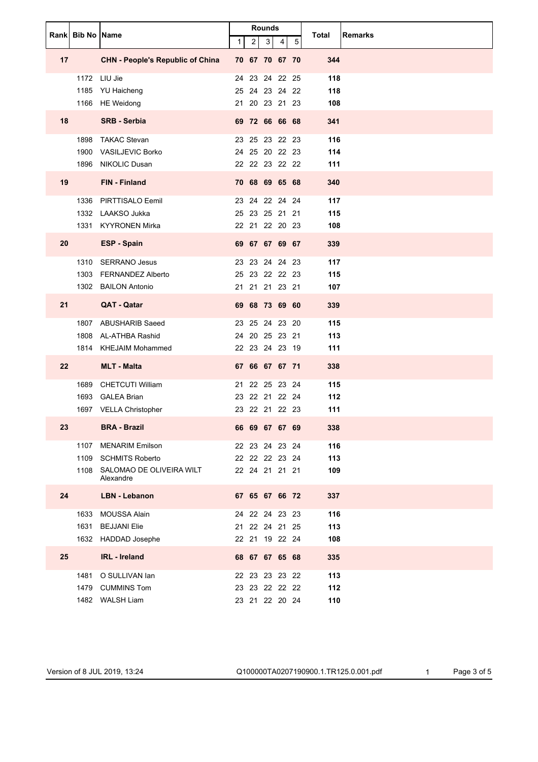|    |      | Rank Bib No Name                        |   |                | Rounds |   |   |                         |
|----|------|-----------------------------------------|---|----------------|--------|---|---|-------------------------|
|    |      |                                         | 1 | $\overline{c}$ | 3      | 4 | 5 | Total<br><b>Remarks</b> |
| 17 |      | <b>CHN - People's Republic of China</b> |   | 70 67 70 67 70 |        |   |   | 344                     |
|    |      | 1172 LIU Jie                            |   | 24 23 24 22 25 |        |   |   | 118                     |
|    | 1185 | YU Haicheng                             |   | 25 24 23 24 22 |        |   |   | 118                     |
|    |      | 1166 HE Weidong                         |   | 21 20 23 21 23 |        |   |   | 108                     |
| 18 |      | <b>SRB - Serbia</b>                     |   | 69 72 66 66 68 |        |   |   | 341                     |
|    | 1898 | <b>TAKAC Stevan</b>                     |   | 23 25 23 22 23 |        |   |   | 116                     |
|    | 1900 | <b>VASILJEVIC Borko</b>                 |   | 24 25 20 22 23 |        |   |   | 114                     |
|    |      | 1896 NIKOLIC Dusan                      |   | 22 22 23 22 22 |        |   |   | 111                     |
| 19 |      | FIN - Finland                           |   | 70 68 69 65 68 |        |   |   | 340                     |
|    | 1336 | PIRTTISALO Eemil                        |   | 23 24 22 24 24 |        |   |   | 117                     |
|    |      | 1332 LAAKSO Jukka                       |   | 25 23 25 21 21 |        |   |   | 115                     |
|    |      | 1331 KYYRONEN Mirka                     |   | 22 21 22 20 23 |        |   |   | 108                     |
| 20 |      | <b>ESP - Spain</b>                      |   | 69 67 67 69 67 |        |   |   | 339                     |
|    | 1310 | <b>SERRANO Jesus</b>                    |   | 23 23 24 24 23 |        |   |   | 117                     |
|    | 1303 | <b>FERNANDEZ Alberto</b>                |   | 25 23 22 22 23 |        |   |   | 115                     |
|    |      | 1302 BAILON Antonio                     |   | 21 21 21 23 21 |        |   |   | 107                     |
| 21 |      | QAT - Qatar                             |   | 69 68 73 69 60 |        |   |   | 339                     |
|    | 1807 | ABUSHARIB Saeed                         |   | 23 25 24 23 20 |        |   |   | 115                     |
|    | 1808 | AL-ATHBA Rashid                         |   | 24 20 25 23 21 |        |   |   | 113                     |
|    |      | 1814 KHEJAIM Mohammed                   |   | 22 23 24 23 19 |        |   |   | 111                     |
| 22 |      | <b>MLT - Malta</b>                      |   | 67 66 67 67 71 |        |   |   | 338                     |
|    | 1689 | <b>CHETCUTI William</b>                 |   | 21 22 25 23 24 |        |   |   | 115                     |
|    |      | 1693 GALEA Brian                        |   | 23 22 21 22 24 |        |   |   | 112                     |
|    |      | 1697 VELLA Christopher                  |   | 23 22 21 22 23 |        |   |   | 111                     |
| 23 |      | <b>BRA - Brazil</b>                     |   | 66 69 67 67 69 |        |   |   | 338                     |
|    | 1107 | <b>MENARIM Emilson</b>                  |   | 22 23 24 23 24 |        |   |   | 116                     |
|    | 1109 | <b>SCHMITS Roberto</b>                  |   | 22 22 22 23 24 |        |   |   | 113                     |
|    | 1108 | SALOMAO DE OLIVEIRA WILT<br>Alexandre   |   | 22 24 21 21 21 |        |   |   | 109                     |
| 24 |      | <b>LBN - Lebanon</b>                    |   | 67 65 67 66 72 |        |   |   | 337                     |
|    | 1633 | <b>MOUSSA Alain</b>                     |   | 24 22 24 23 23 |        |   |   | 116                     |
|    | 1631 | <b>BEJJANI Elie</b>                     |   | 21 22 24 21 25 |        |   |   | 113                     |
|    |      | 1632 HADDAD Josephe                     |   | 22 21 19 22 24 |        |   |   | 108                     |
| 25 |      | <b>IRL</b> - Ireland                    |   | 68 67 67 65 68 |        |   |   | 335                     |
|    |      | 1481 O SULLIVAN Ian                     |   | 22 23 23 23 22 |        |   |   | 113                     |
|    |      | 1479 CUMMINS Tom                        |   | 23 23 22 22 22 |        |   |   | 112                     |
|    |      | 1482 WALSH Liam                         |   | 23 21 22 20 24 |        |   |   | 110                     |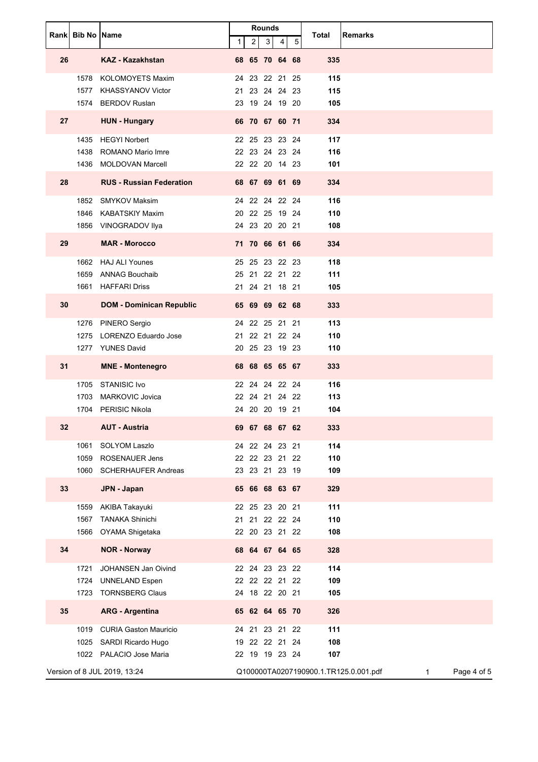|    | <b>Rankl Bib No IName</b> |                                               | <b>Rounds</b><br>$\overline{2}$<br>3 <sup>1</sup><br>$\mathbf{1}$<br>5<br>4 |  | <b>Remarks</b><br>Total          |                                                                      |
|----|---------------------------|-----------------------------------------------|-----------------------------------------------------------------------------|--|----------------------------------|----------------------------------------------------------------------|
|    |                           |                                               |                                                                             |  |                                  |                                                                      |
| 26 |                           | <b>KAZ - Kazakhstan</b>                       |                                                                             |  | 68 65 70 64 68                   | 335                                                                  |
|    | 1578                      | <b>KOLOMOYETS Maxim</b>                       |                                                                             |  | 24 23 22 21 25                   | 115                                                                  |
|    | 1577                      | <b>KHASSYANOV Victor</b>                      |                                                                             |  | 21 23 24 24 23                   | 115                                                                  |
|    | 1574                      | <b>BERDOV Ruslan</b>                          |                                                                             |  | 23 19 24 19 20                   | 105                                                                  |
| 27 |                           | <b>HUN - Hungary</b>                          |                                                                             |  | 66 70 67 60 71                   | 334                                                                  |
|    | 1435                      | <b>HEGYI Norbert</b>                          |                                                                             |  | 22 25 23 23 24                   | 117                                                                  |
|    | 1438<br>1436              | ROMANO Mario Imre<br><b>MOLDOVAN Marcell</b>  |                                                                             |  | 22 23 24 23 24<br>22 22 20 14 23 | 116                                                                  |
|    |                           |                                               |                                                                             |  |                                  | 101                                                                  |
| 28 |                           | <b>RUS - Russian Federation</b>               |                                                                             |  | 68 67 69 61 69                   | 334                                                                  |
|    | 1852                      | <b>SMYKOV Maksim</b>                          |                                                                             |  | 24 22 24 22 24                   | 116                                                                  |
|    | 1846                      | <b>KABATSKIY Maxim</b><br>VINOGRADOV Ilya     |                                                                             |  | 20 22 25 19 24<br>24 23 20 20 21 | 110<br>108                                                           |
|    | 1856                      |                                               |                                                                             |  |                                  |                                                                      |
| 29 |                           | <b>MAR - Morocco</b>                          |                                                                             |  | 71 70 66 61 66                   | 334                                                                  |
|    |                           | 1662 HAJ ALI Younes                           |                                                                             |  | 25 25 23 22 23                   | 118                                                                  |
|    | 1659                      | ANNAG Bouchaib                                |                                                                             |  | 25 21 22 21 22                   | 111                                                                  |
|    | 1661                      | <b>HAFFARI Driss</b>                          |                                                                             |  | 21 24 21 18 21                   | 105                                                                  |
| 30 |                           | <b>DOM - Dominican Republic</b>               |                                                                             |  | 65 69 69 62 68                   | 333                                                                  |
|    | 1276                      | PINERO Sergio                                 |                                                                             |  | 24 22 25 21 21                   | 113                                                                  |
|    | 1275                      | LORENZO Eduardo Jose                          |                                                                             |  | 21 22 21 22 24                   | 110                                                                  |
|    | 1277                      | <b>YUNES David</b>                            |                                                                             |  | 20 25 23 19 23                   | 110                                                                  |
| 31 |                           | <b>MNE - Montenegro</b>                       |                                                                             |  | 68 68 65 65 67                   | 333                                                                  |
|    | 1705                      | STANISIC Ivo                                  |                                                                             |  | 22 24 24 22 24                   | 116                                                                  |
|    | 1703                      | <b>MARKOVIC Jovica</b><br>1704 PERISIC Nikola |                                                                             |  | 22 24 21 24 22<br>24 20 20 19 21 | 113<br>104                                                           |
|    |                           |                                               |                                                                             |  |                                  |                                                                      |
| 32 |                           | <b>AUT - Austria</b>                          |                                                                             |  | 69 67 68 67 62                   | 333                                                                  |
|    | 1061                      | SOLYOM Laszlo                                 |                                                                             |  | 24 22 24 23 21                   | 114                                                                  |
|    | 1059                      | <b>ROSENAUER Jens</b>                         |                                                                             |  | 22 22 23 21 22                   | 110                                                                  |
|    | 1060                      | <b>SCHERHAUFER Andreas</b>                    |                                                                             |  | 23 23 21 23 19                   | 109                                                                  |
| 33 |                           | JPN - Japan                                   |                                                                             |  | 65 66 68 63 67                   | 329                                                                  |
|    | 1559                      | AKIBA Takayuki                                |                                                                             |  | 22 25 23 20 21                   | 111                                                                  |
|    | 1567                      | <b>TANAKA Shinichi</b>                        |                                                                             |  | 21 21 22 22 24                   | 110                                                                  |
|    | 1566                      | OYAMA Shigetaka                               |                                                                             |  | 22 20 23 21 22                   | 108                                                                  |
| 34 |                           | <b>NOR - Norway</b>                           |                                                                             |  | 68 64 67 64 65                   | 328                                                                  |
|    | 1721                      | JOHANSEN Jan Oivind                           |                                                                             |  | 22 24 23 23 22                   | 114                                                                  |
|    | 1724                      | <b>UNNELAND Espen</b>                         |                                                                             |  | 22 22 22 21 22                   | 109                                                                  |
|    | 1723                      | <b>TORNSBERG Claus</b>                        |                                                                             |  | 24 18 22 20 21                   | 105                                                                  |
| 35 |                           | <b>ARG - Argentina</b>                        |                                                                             |  | 65 62 64 65 70                   | 326                                                                  |
|    | 1019                      | <b>CURIA Gaston Mauricio</b>                  |                                                                             |  | 24 21 23 21 22                   | 111                                                                  |
|    | 1025                      | SARDI Ricardo Hugo                            |                                                                             |  | 19 22 22 21 24                   | 108                                                                  |
|    |                           | 1022 PALACIO Jose Maria                       |                                                                             |  | 22 19 19 23 24                   | 107                                                                  |
|    |                           | Version of 8 JUL 2019, 13:24                  |                                                                             |  |                                  | Page 4 of 5<br>Q100000TA0207190900.1.TR125.0.001.pdf<br>$\mathbf{1}$ |